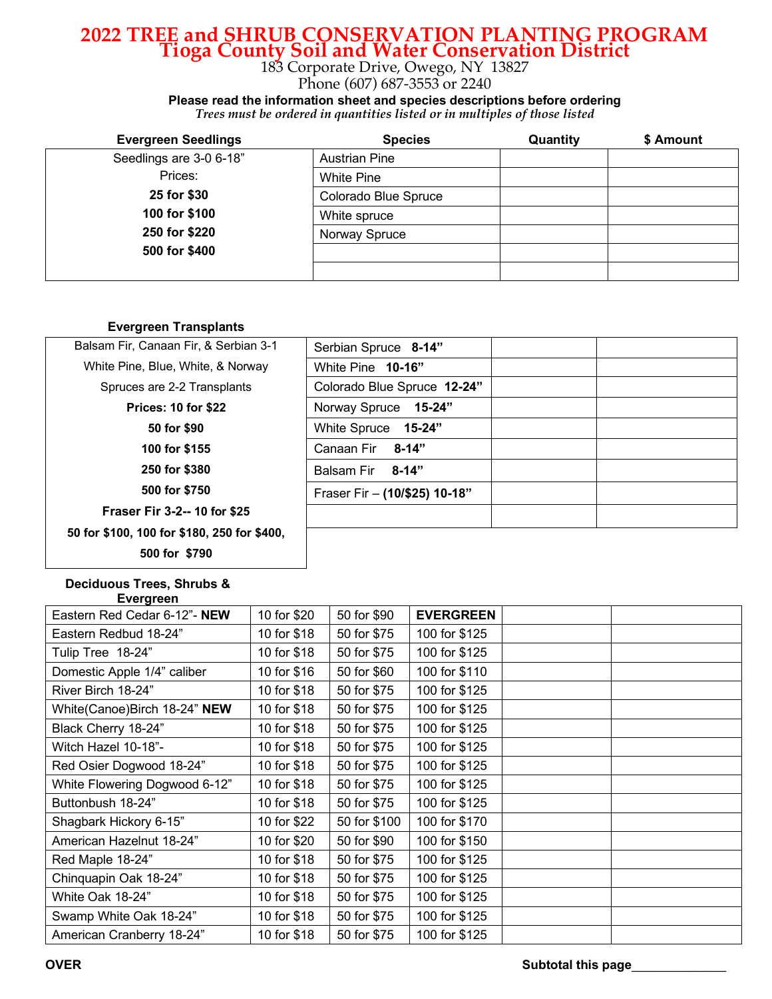## **2022 TREE and SHRUB CONSERVATION PLANTING PROGRAM Tioga County Soil and Water Conservation District** 183 Corporate Drive, Owego, NY 13827

Phone (607) 687-3553 or 2240

**Please read the information sheet and species descriptions before ordering**

| Trees must be ordered in quantities listed or in multiples of those listed |  |  |  |  |  |
|----------------------------------------------------------------------------|--|--|--|--|--|
|----------------------------------------------------------------------------|--|--|--|--|--|

| <b>Evergreen Seedlings</b> | <b>Species</b>       | Quantity | \$ Amount |
|----------------------------|----------------------|----------|-----------|
| Seedlings are 3-0 6-18"    | <b>Austrian Pine</b> |          |           |
| Prices:                    | White Pine           |          |           |
| 25 for \$30                | Colorado Blue Spruce |          |           |
| 100 for \$100              | White spruce         |          |           |
| 250 for \$220              | Norway Spruce        |          |           |
| 500 for \$400              |                      |          |           |
|                            |                      |          |           |

#### **Evergreen Transplants**

| Balsam Fir, Canaan Fir, & Serbian 3-1       | Serbian Spruce 8-14"          |  |
|---------------------------------------------|-------------------------------|--|
| White Pine, Blue, White, & Norway           | White Pine 10-16"             |  |
| Spruces are 2-2 Transplants                 | Colorado Blue Spruce 12-24"   |  |
| <b>Prices: 10 for \$22</b>                  | Norway Spruce 15-24"          |  |
| 50 for \$90                                 | White Spruce<br>15-24"        |  |
| 100 for \$155                               | Canaan Fir<br>8-14"           |  |
| 250 for \$380                               | $8 - 14"$<br>Balsam Fir       |  |
| 500 for \$750                               | Fraser Fir - (10/\$25) 10-18" |  |
| <b>Fraser Fir 3-2--10 for \$25</b>          |                               |  |
| 50 for \$100, 100 for \$180, 250 for \$400, |                               |  |
| 500 for \$790                               |                               |  |

#### **Deciduous Trees, Shrubs & Evergreen**

| Eastern Red Cedar 6-12"- NEW  | 10 for \$20 | 50 for \$90  | <b>EVERGREEN</b> |  |
|-------------------------------|-------------|--------------|------------------|--|
| Eastern Redbud 18-24"         | 10 for \$18 | 50 for \$75  | 100 for \$125    |  |
| Tulip Tree 18-24"             | 10 for \$18 | 50 for \$75  | 100 for \$125    |  |
| Domestic Apple 1/4" caliber   | 10 for \$16 | 50 for \$60  | 100 for \$110    |  |
| River Birch 18-24"            | 10 for \$18 | 50 for \$75  | 100 for \$125    |  |
| White(Canoe)Birch 18-24" NEW  | 10 for \$18 | 50 for \$75  | 100 for \$125    |  |
| Black Cherry 18-24"           | 10 for \$18 | 50 for \$75  | 100 for \$125    |  |
| Witch Hazel 10-18"-           | 10 for \$18 | 50 for \$75  | 100 for \$125    |  |
| Red Osier Dogwood 18-24"      | 10 for \$18 | 50 for \$75  | 100 for \$125    |  |
| White Flowering Dogwood 6-12" | 10 for \$18 | 50 for \$75  | 100 for \$125    |  |
| Buttonbush 18-24"             | 10 for \$18 | 50 for \$75  | 100 for \$125    |  |
| Shagbark Hickory 6-15"        | 10 for \$22 | 50 for \$100 | 100 for \$170    |  |
| American Hazelnut 18-24"      | 10 for \$20 | 50 for \$90  | 100 for \$150    |  |
| Red Maple 18-24"              | 10 for \$18 | 50 for \$75  | 100 for \$125    |  |
| Chinquapin Oak 18-24"         | 10 for \$18 | 50 for \$75  | 100 for \$125    |  |
| White Oak 18-24"              | 10 for \$18 | 50 for \$75  | 100 for \$125    |  |
| Swamp White Oak 18-24"        | 10 for \$18 | 50 for \$75  | 100 for \$125    |  |
| American Cranberry 18-24"     | 10 for \$18 | 50 for \$75  | 100 for \$125    |  |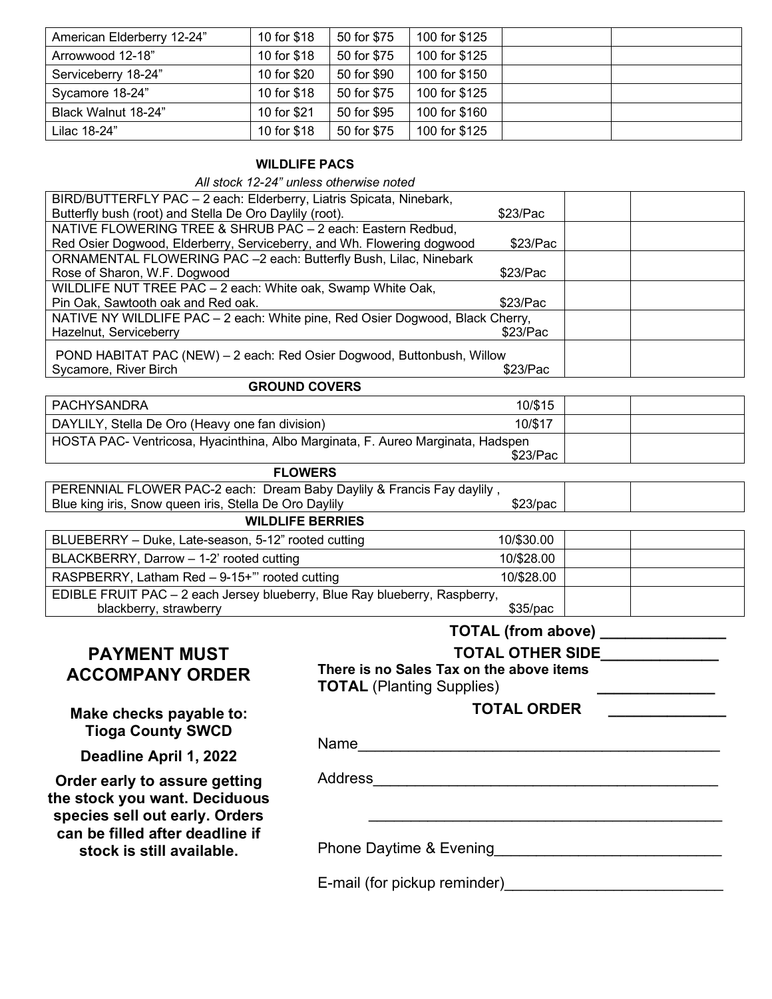| American Elderberry 12-24" | 10 for \$18 | 50 for \$75 | 100 for \$125 |  |
|----------------------------|-------------|-------------|---------------|--|
| Arrowwood 12-18"           | 10 for \$18 | 50 for \$75 | 100 for \$125 |  |
| Serviceberry 18-24"        | 10 for \$20 | 50 for \$90 | 100 for \$150 |  |
| Sycamore 18-24"            | 10 for \$18 | 50 for \$75 | 100 for \$125 |  |
| Black Walnut 18-24"        | 10 for \$21 | 50 for \$95 | 100 for \$160 |  |
| Lilac 18-24"               | 10 for \$18 | 50 for \$75 | 100 for \$125 |  |

#### **WILDLIFE PACS**

*All stock 12-24" unless otherwise noted*

| All SLUCK TZ-Z+ UNIGSS UNIGHOUSE NULGU                                                                              |                                          |                           |  |  |
|---------------------------------------------------------------------------------------------------------------------|------------------------------------------|---------------------------|--|--|
| BIRD/BUTTERFLY PAC - 2 each: Elderberry, Liatris Spicata, Ninebark,                                                 |                                          |                           |  |  |
| Butterfly bush (root) and Stella De Oro Daylily (root).                                                             |                                          | \$23/Pac                  |  |  |
| NATIVE FLOWERING TREE & SHRUB PAC - 2 each: Eastern Redbud,                                                         |                                          |                           |  |  |
| Red Osier Dogwood, Elderberry, Serviceberry, and Wh. Flowering dogwood                                              |                                          | \$23/Pac                  |  |  |
| ORNAMENTAL FLOWERING PAC -2 each: Butterfly Bush, Lilac, Ninebark                                                   |                                          |                           |  |  |
| Rose of Sharon, W.F. Dogwood                                                                                        |                                          | \$23/Pac                  |  |  |
| WILDLIFE NUT TREE PAC - 2 each: White oak, Swamp White Oak,                                                         |                                          | \$23/Pac                  |  |  |
| Pin Oak, Sawtooth oak and Red oak.<br>NATIVE NY WILDLIFE PAC - 2 each: White pine, Red Osier Dogwood, Black Cherry, |                                          |                           |  |  |
| Hazelnut, Serviceberry                                                                                              |                                          | \$23/Pac                  |  |  |
|                                                                                                                     |                                          |                           |  |  |
| POND HABITAT PAC (NEW) - 2 each: Red Osier Dogwood, Buttonbush, Willow                                              |                                          |                           |  |  |
| Sycamore, River Birch                                                                                               |                                          | \$23/Pac                  |  |  |
| <b>GROUND COVERS</b>                                                                                                |                                          |                           |  |  |
| <b>PACHYSANDRA</b>                                                                                                  |                                          | 10/\$15                   |  |  |
| DAYLILY, Stella De Oro (Heavy one fan division)                                                                     |                                          | 10/\$17                   |  |  |
| HOSTA PAC- Ventricosa, Hyacinthina, Albo Marginata, F. Aureo Marginata, Hadspen                                     |                                          |                           |  |  |
|                                                                                                                     |                                          | \$23/Pac                  |  |  |
| <b>FLOWERS</b>                                                                                                      |                                          |                           |  |  |
| PERENNIAL FLOWER PAC-2 each: Dream Baby Daylily & Francis Fay daylily,                                              |                                          |                           |  |  |
| Blue king iris, Snow queen iris, Stella De Oro Daylily<br>\$23/pac                                                  |                                          |                           |  |  |
| <b>WILDLIFE BERRIES</b>                                                                                             |                                          |                           |  |  |
| BLUEBERRY - Duke, Late-season, 5-12" rooted cutting                                                                 |                                          | 10/\$30.00                |  |  |
| BLACKBERRY, Darrow - 1-2' rooted cutting                                                                            |                                          | 10/\$28.00                |  |  |
| RASPBERRY, Latham Red - 9-15+" rooted cutting                                                                       |                                          | 10/\$28.00                |  |  |
| EDIBLE FRUIT PAC - 2 each Jersey blueberry, Blue Ray blueberry, Raspberry,                                          |                                          |                           |  |  |
| blackberry, strawberry                                                                                              |                                          | \$35/pac                  |  |  |
|                                                                                                                     |                                          | <b>TOTAL (from above)</b> |  |  |
| <b>PAYMENT MUST</b>                                                                                                 |                                          | <b>TOTAL OTHER SIDE</b>   |  |  |
|                                                                                                                     | There is no Sales Tax on the above items |                           |  |  |
| <b>ACCOMPANY ORDER</b>                                                                                              |                                          |                           |  |  |
|                                                                                                                     | <b>TOTAL (Planting Supplies)</b>         |                           |  |  |
| Make checks payable to:                                                                                             |                                          | <b>TOTAL ORDER</b>        |  |  |
| <b>Tioga County SWCD</b>                                                                                            |                                          |                           |  |  |
|                                                                                                                     | Name                                     |                           |  |  |
|                                                                                                                     |                                          |                           |  |  |

**Deadline April 1, 2022**

**Order early to assure getting the stock you want. Deciduous species sell out early. Orders can be filled after deadline if stock is still available.**

Address\_\_\_\_\_\_\_\_\_\_\_\_\_\_\_\_\_\_\_\_\_\_\_\_\_\_\_\_\_\_\_\_\_\_\_\_\_\_\_\_\_

Phone Daytime & Evening\_\_\_\_\_\_\_\_\_\_\_\_\_\_\_\_\_\_\_\_\_\_\_\_\_\_\_

E-mail (for pickup reminder)\_\_\_\_\_\_\_\_\_\_\_\_\_\_\_\_\_\_\_\_\_\_\_\_\_\_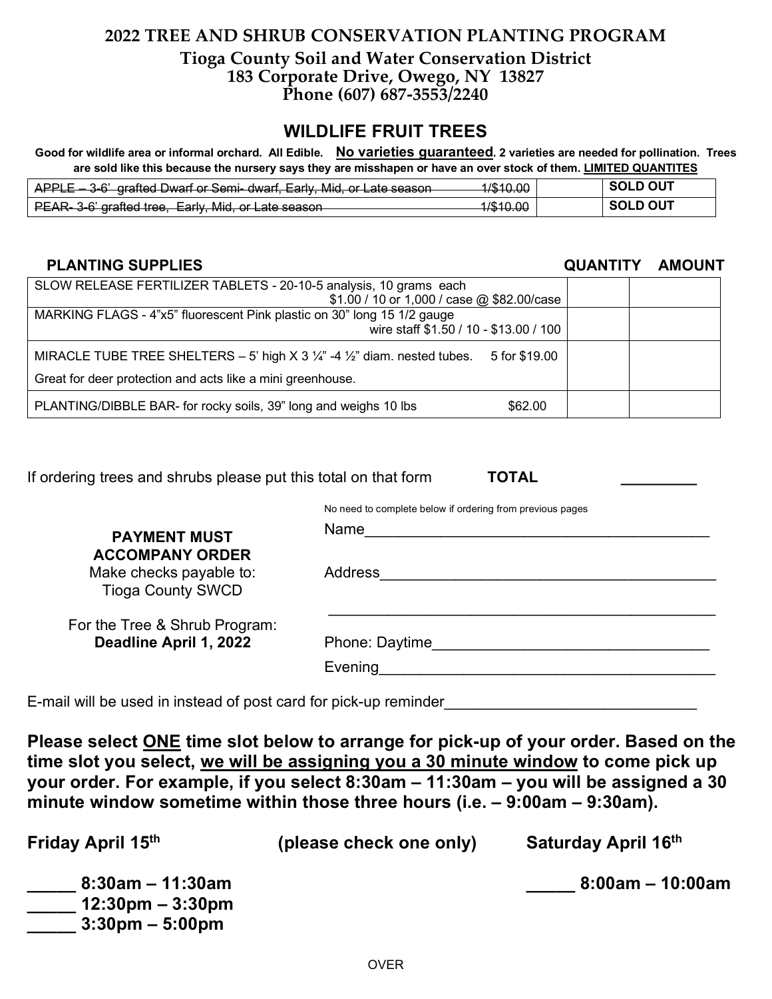### **2022 TREE AND SHRUB CONSERVATION PLANTING PROGRAM Tioga County Soil and Water Conservation District 183 Corporate Drive, Owego, NY 13827 Phone (607) 687-3553/2240**

## **WILDLIFE FRUIT TREES**

Good for wildlife area or informal orchard. All Edible. No varieties guaranteed. 2 varieties are needed for pollination. Trees **are sold like this because the nursery says they are misshapen or have an over stock of them. LIMITED QUANTITES**

| 3.6' arafted Dwarf or Sami dwarf Early Mid or Late season<br><del>ALLE</del><br><del>o o giancu Dwan o ochir uwan, Lany, wilu, or Late scason</del> | 1 /ድ 1 ሰ ሰሰ<br>7 <del>010.00</del>                  | <b>SOLD OUT</b> |
|-----------------------------------------------------------------------------------------------------------------------------------------------------|-----------------------------------------------------|-----------------|
| PEAR, 3-6' arafted tree. Farly, Mid, or Late season<br><del>r LAR oro grancu troc, Larry, wild, or Late scason i</del>                              | 1 /ድ 1 በ በበ<br><del>,,,,,,,,,,,,,,,,,,,,,,,,,</del> | <b>SOLD OUT</b> |

### **PLANTING SUPPLIES QUANTITY AMOUNT**

| SLOW RELEASE FERTILIZER TABLETS - 20-10-5 analysis, 10 grams each                                              |  |
|----------------------------------------------------------------------------------------------------------------|--|
| \$1.00 / 10 or 1,000 / case @ \$82.00/case                                                                     |  |
| MARKING FLAGS - 4"x5" fluorescent Pink plastic on 30" long 15 1/2 gauge                                        |  |
| wire staff \$1.50 / 10 - \$13.00 / 100                                                                         |  |
| MIRACLE TUBE TREE SHELTERS - 5' high X 3 $\frac{1}{4}$ -4 $\frac{1}{2}$ " diam. nested tubes.<br>5 for \$19.00 |  |
| Great for deer protection and acts like a mini greenhouse.                                                     |  |
| PLANTING/DIBBLE BAR- for rocky soils, 39" long and weighs 10 lbs<br>\$62.00                                    |  |

If ordering trees and shrubs please put this total on that form **TOTAL** 

No need to complete below if ordering from previous pages

| <b>PAYMENT MUST</b>                               | Name           |
|---------------------------------------------------|----------------|
| <b>ACCOMPANY ORDER</b><br>Make checks payable to: | <b>Address</b> |
| <b>Tioga County SWCD</b>                          |                |
| For the Tree & Shrub Program:                     |                |
| Deadline April 1, 2022                            | Phone: Daytime |
|                                                   | Evening        |
|                                                   |                |

E-mail will be used in instead of post card for pick-up reminder

**Please select ONE time slot below to arrange for pick-up of your order. Based on the time slot you select, we will be assigning you a 30 minute window to come pick up your order. For example, if you select 8:30am – 11:30am – you will be assigned a 30 minute window sometime within those three hours (i.e. – 9:00am – 9:30am).** 

| Friday April 15th                                                                              | (please check one only) | Saturday April 16th |
|------------------------------------------------------------------------------------------------|-------------------------|---------------------|
| $8:30$ am – 11:30am<br>$12:30 \text{pm} - 3:30 \text{pm}$<br>$3:30 \text{pm} - 5:00 \text{pm}$ |                         | $8:00am - 10:00am$  |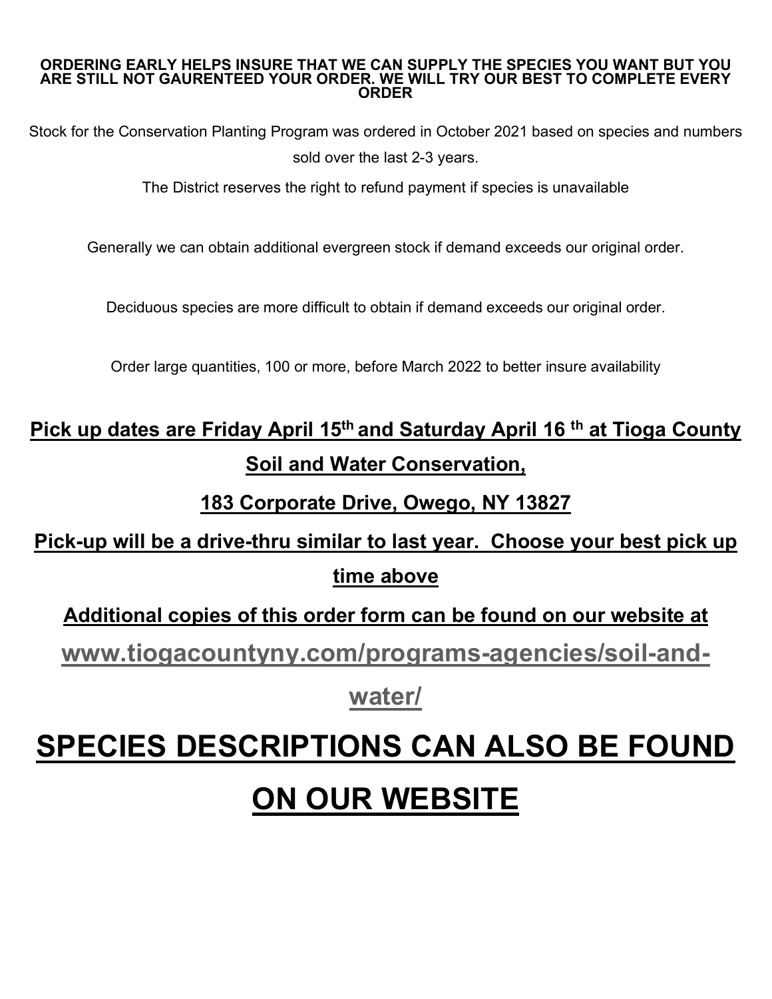#### **ORDERING EARLY HELPS INSURE THAT WE CAN SUPPLY THE SPECIES YOU WANT BUT YOU ARE STILL NOT GAURENTEED YOUR ORDER. WE WILL TRY OUR BEST TO COMPLETE EVERY ORDER**

Stock for the Conservation Planting Program was ordered in October 2021 based on species and numbers sold over the last 2-3 years.

The District reserves the right to refund payment if species is unavailable

Generally we can obtain additional evergreen stock if demand exceeds our original order.

Deciduous species are more difficult to obtain if demand exceeds our original order.

Order large quantities, 100 or more, before March 2022 to better insure availability

**Pick up dates are Friday April 15th and Saturday April 16 th at Tioga County Soil and Water Conservation,**

## **183 Corporate Drive, Owego, NY 13827**

## **Pick-up will be a drive-thru similar to last year. Choose your best pick up time above**

**Additional copies of this order form can be found on our website at** 

**www.tiogacountyny.com/programs-agencies/soil-and-**

**water/**

## **SPECIES DESCRIPTIONS CAN ALSO BE FOUND**

# **ON OUR WEBSITE**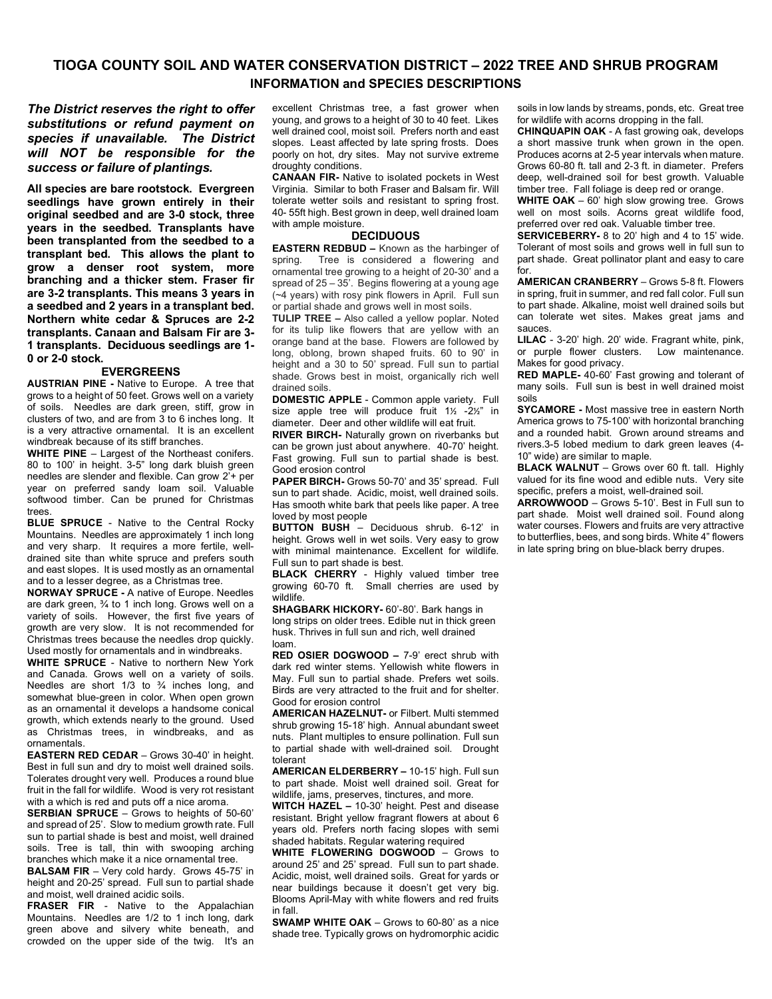#### **TIOGA COUNTY SOIL AND WATER CONSERVATION DISTRICT – 2022 TREE AND SHRUB PROGRAM INFORMATION and SPECIES DESCRIPTIONS**

*The District reserves the right to offer substitutions or refund payment on species if unavailable. The District will NOT be responsible for the success or failure of plantings.*

**All species are bare rootstock. Evergreen seedlings have grown entirely in their original seedbed and are 3-0 stock, three years in the seedbed. Transplants have been transplanted from the seedbed to a transplant bed. This allows the plant to grow a denser root system, more branching and a thicker stem. Fraser fir are 3-2 transplants. This means 3 years in a seedbed and 2 years in a transplant bed. Northern white cedar & Spruces are 2-2 transplants. Canaan and Balsam Fir are 3- 1 transplants. Deciduous seedlings are 1- 0 or 2-0 stock.** 

#### **EVERGREENS**

**AUSTRIAN PINE -** Native to Europe. A tree that grows to a height of 50 feet. Grows well on a variety of soils. Needles are dark green, stiff, grow in clusters of two, and are from 3 to 6 inches long. It is a very attractive ornamental. It is an excellent windbreak because of its stiff branches.

**WHITE PINE** – Largest of the Northeast conifers. 80 to 100' in height. 3-5" long dark bluish green needles are slender and flexible. Can grow 2'+ per year on preferred sandy loam soil. Valuable softwood timber. Can be pruned for Christmas trope

**BLUE SPRUCE** - Native to the Central Rocky Mountains. Needles are approximately 1 inch long and very sharp. It requires a more fertile, welldrained site than white spruce and prefers south and east slopes. It is used mostly as an ornamental and to a lesser degree, as a Christmas tree.

**NORWAY SPRUCE -** A native of Europe. Needles are dark green, ¾ to 1 inch long. Grows well on a variety of soils. However, the first five years of growth are very slow. It is not recommended for Christmas trees because the needles drop quickly. Used mostly for ornamentals and in windbreaks.

**WHITE SPRUCE** - Native to northern New York and Canada. Grows well on a variety of soils. Needles are short  $1/3$  to  $\frac{3}{4}$  inches long, and somewhat blue-green in color. When open grown as an ornamental it develops a handsome conical growth, which extends nearly to the ground. Used as Christmas trees, in windbreaks, and as ornamentals.

**EASTERN RED CEDAR** – Grows 30-40' in height. Best in full sun and dry to moist well drained soils. Tolerates drought very well. Produces a round blue fruit in the fall for wildlife. Wood is very rot resistant with a which is red and puts off a nice aroma.

**SERBIAN SPRUCE** – Grows to heights of 50-60' and spread of 25'. Slow to medium growth rate. Full sun to partial shade is best and moist, well drained soils. Tree is tall, thin with swooping arching branches which make it a nice ornamental tree.

**BALSAM FIR** – Very cold hardy. Grows 45-75' in height and 20-25' spread. Full sun to partial shade and moist, well drained acidic soils.

**FRASER FIR** - Native to the Appalachian Mountains. Needles are 1/2 to 1 inch long, dark green above and silvery white beneath, and crowded on the upper side of the twig. It's an excellent Christmas tree, a fast grower when young, and grows to a height of 30 to 40 feet. Likes well drained cool, moist soil. Prefers north and east slopes. Least affected by late spring frosts. Does poorly on hot, dry sites. May not survive extreme droughty conditions.

**CANAAN FIR-** Native to isolated pockets in West Virginia. Similar to both Fraser and Balsam fir. Will tolerate wetter soils and resistant to spring frost. 40- 55ft high. Best grown in deep, well drained loam with ample moisture.

#### **DECIDUOUS**

**EASTERN REDBUD –** Known as the harbinger of spring. Tree is considered a flowering and ornamental tree growing to a height of 20-30' and a spread of  $25 - 35$ . Begins flowering at a young age (~4 years) with rosy pink flowers in April. Full sun or partial shade and grows well in most soils.

**TULIP TREE –** Also called a yellow poplar. Noted for its tulip like flowers that are yellow with an orange band at the base. Flowers are followed by long, oblong, brown shaped fruits. 60 to 90' in height and a 30 to 50' spread. Full sun to partial shade. Grows best in moist, organically rich well drained soils.

**DOMESTIC APPLE** - Common apple variety. Full size apple tree will produce fruit 1½ -2½" in diameter. Deer and other wildlife will eat fruit.

**RIVER BIRCH-** Naturally grown on riverbanks but can be grown just about anywhere. 40-70' height. Fast growing. Full sun to partial shade is best. Good erosion control

**PAPER BIRCH-** Grows 50-70' and 35' spread. Full sun to part shade. Acidic, moist, well drained soils. Has smooth white bark that peels like paper. A tree loved by most people

**BUTTON BUSH** – Deciduous shrub. 6-12' in height. Grows well in wet soils. Very easy to grow with minimal maintenance. Excellent for wildlife. Full sun to part shade is best.

**BLACK CHERRY** - Highly valued timber tree growing 60-70 ft. Small cherries are used by wildlife.

**SHAGBARK HICKORY-** 60'-80'. Bark hangs in long strips on older trees. Edible nut in thick green husk. Thrives in full sun and rich, well drained loam.

**RED OSIER DOGWOOD –** 7-9' erect shrub with dark red winter stems. Yellowish white flowers in May. Full sun to partial shade. Prefers wet soils. Birds are very attracted to the fruit and for shelter. Good for erosion control

**AMERICAN HAZELNUT-** or Filbert. Multi stemmed shrub growing 15-18' high. Annual abundant sweet nuts. Plant multiples to ensure pollination. Full sun to partial shade with well-drained soil. Drought tolerant

**AMERICAN ELDERBERRY –** 10-15' high. Full sun to part shade. Moist well drained soil. Great for wildlife, jams, preserves, tinctures, and more.

**WITCH HAZEL –** 10-30' height. Pest and disease resistant. Bright yellow fragrant flowers at about 6 years old. Prefers north facing slopes with semi shaded habitats. Regular watering required

**WHITE FLOWERING DOGWOOD** – Grows to around 25' and 25' spread. Full sun to part shade. Acidic, moist, well drained soils. Great for yards or near buildings because it doesn't get very big. Blooms April-May with white flowers and red fruits in fall.

**SWAMP WHITE OAK** – Grows to 60-80' as a nice shade tree. Typically grows on hydromorphic acidic soils in low lands by streams, ponds, etc. Great tree for wildlife with acorns dropping in the fall.

**CHINQUAPIN OAK** - A fast growing oak, develops a short massive trunk when grown in the open. Produces acorns at 2-5 year intervals when mature. Grows 60-80 ft. tall and 2-3 ft. in diameter. Prefers deep, well-drained soil for best growth. Valuable timber tree. Fall foliage is deep red or orange.

**WHITE OAK** – 60' high slow growing tree. Grows well on most soils. Acorns great wildlife food, preferred over red oak. Valuable timber tree.

**SERVICEBERRY-** 8 to 20' high and 4 to 15' wide. Tolerant of most soils and grows well in full sun to part shade. Great pollinator plant and easy to care for.

**AMERICAN CRANBERRY** – Grows 5-8 ft. Flowers in spring, fruit in summer, and red fall color. Full sun to part shade. Alkaline, moist well drained soils but can tolerate wet sites. Makes great jams and sauces.

**LILAC** - 3-20' high. 20' wide. Fragrant white, pink, or purple flower clusters. Low maintenance. Makes for good privacy.

**RED MAPLE-** 40-60' Fast growing and tolerant of many soils. Full sun is best in well drained moist soils

**SYCAMORE -** Most massive tree in eastern North America grows to 75-100' with horizontal branching and a rounded habit. Grown around streams and rivers.3-5 lobed medium to dark green leaves (4- 10" wide) are similar to maple.

**BLACK WALNUT** – Grows over 60 ft. tall. Highly valued for its fine wood and edible nuts. Very site specific, prefers a moist, well-drained soil.

**ARROWWOOD** – Grows 5-10'. Best in Full sun to part shade. Moist well drained soil. Found along water courses. Flowers and fruits are very attractive to butterflies, bees, and song birds. White 4" flowers in late spring bring on blue-black berry drupes.